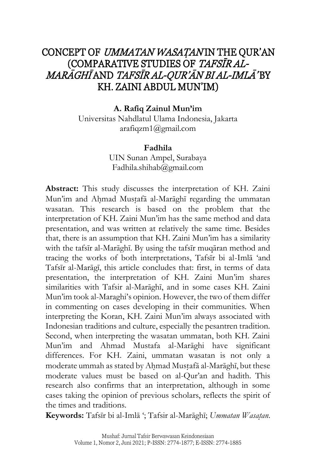# CONCEPT OF UMMATAN WASATANIN THE OUR'AN (COMPARATIVE STUDIES OF TAFSĪR AL-MARĀGHĪ AND TAFSĪR AL-QUR'ĀN BI AL-IMLĀ' BY KH. ZAINI ABDUL MUN'IM)

#### **A. Rafiq Zainul Mun'im**

Universitas Nahdlatul Ulama Indonesia, Jakarta [arafiqzm1@gmail.com](mailto:arafiqzm1@gmail.com)

#### **Fadhila**

UIN Sunan Ampel, Surabaya [Fadhila.shihab@gmail.com](mailto:Fadhila.shihab@gmail.com)

**Abstract:** This study discusses the interpretation of KH. Zaini Mun'im and Ahmad Mustafā al-Marāghī regarding the ummatan wasatan. This research is based on the problem that the interpretation of KH. Zaini Mun'im has the same method and data presentation, and was written at relatively the same time. Besides that, there is an assumption that KH. Zaini Mun'im has a similarity with the tafsīr al-Marāghī. By using the tafsīr muqāran method and tracing the works of both interpretations, Tafsīr bi al-Imlā 'and Tafsīr al-Marāgī, this article concludes that: first, in terms of data presentation, the interpretation of KH. Zaini Mun'im shares similarities with Tafsir al-Marāghī, and in some cases KH. Zaini Mun'im took al-Maraghi's opinion. However, the two of them differ in commenting on cases developing in their communities. When interpreting the Koran, KH. Zaini Mun'im always associated with Indonesian traditions and culture, especially the pesantren tradition. Second, when interpreting the wasatan ummatan, both KH. Zaini Mun'im and Ahmad Mustafa al-Marāghi have significant differences. For KH. Zaini, ummatan wasatan is not only a moderate ummah as stated by Ahmad Mustafā al-Marāghī, but these moderate values must be based on al-Qur'an and hadith. This research also confirms that an interpretation, although in some cases taking the opinion of previous scholars, reflects the spirit of the times and traditions.

**Keywords:** Tafsīr bi al-Imlā '; Tafsir al-Marāghī; *Ummatan Wasat*}*an*.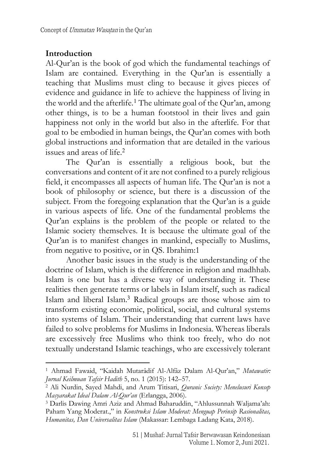#### **Introduction**

Al-Qur'an is the book of god which the fundamental teachings of Islam are contained. Everything in the Qur'an is essentially a teaching that Muslims must cling to because it gives pieces of evidence and guidance in life to achieve the happiness of living in the world and the afterlife.<sup>1</sup> The ultimate goal of the Qur'an, among other things, is to be a human footstool in their lives and gain happiness not only in the world but also in the afterlife. For that goal to be embodied in human beings, the Qur'an comes with both global instructions and information that are detailed in the various issues and areas of life. 2

The Qur'an is essentially a religious book, but the conversations and content of it are not confined to a purely religious field, it encompasses all aspects of human life. The Qur'an is not a book of philosophy or science, but there is a discussion of the subject. From the foregoing explanation that the Qur'an is a guide in various aspects of life. One of the fundamental problems the Qur'an explains is the problem of the people or related to the Islamic society themselves. It is because the ultimate goal of the Qur'an is to manifest changes in mankind, especially to Muslims, from negative to positive, or in QS. Ibrahim:1

Another basic issues in the study is the understanding of the doctrine of Islam, which is the difference in religion and madhhab. Islam is one but has a diverse way of understanding it. These realities then generate terms or labels in Islam itself, such as radical Islam and liberal Islam.<sup>3</sup> Radical groups are those whose aim to transform existing economic, political, social, and cultural systems into systems of Islam. Their understanding that current laws have failed to solve problems for Muslims in Indonesia. Whereas liberals are excessively free Muslims who think too freely, who do not textually understand Islamic teachings, who are excessively tolerant

<sup>1</sup> Ahmad Fawaid, "Kaidah Mutarâdif Al-Alfâz Dalam Al-Qur'an," *Mutawatir: Jurnal Keilmuan Tafsir Hadith* 5, no. 1 (2015): 142–57.

<sup>2</sup> Ali Nurdin, Sayed Mahdi, and Arum Titisari, *Quranic Society: Menelusuri Konsep Masyarakat Ideal Dalam Al-Qur'an* (Erlangga, 2006).

<sup>3</sup> Darlis Dawing Amri Aziz and Ahmad Baharuddin, "Ahlussunnah Waljama'ah: Paham Yang Moderat.," in *Konstruksi Islam Moderat: Menguap Perinsip Rasionalitas, Humanitas, Dan Universalitas Islam* (Makassar: Lembaga Ladang Kata, 2018).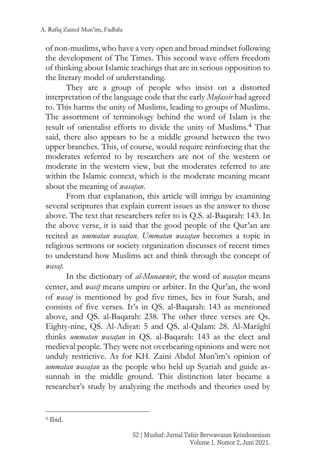of non-muslims, who have a very open and broad mindset following the development of The Times. This second wave offers freedom of thinking about Islamic teachings that are in serious opposition to the literary model of understanding.

They are a group of people who insist on a distorted interpretation of the language code that the early *Mufassir* had agreed to. This harms the unity of Muslims, leading to groups of Muslims. The assortment of terminology behind the word of Islam is the result of orientalist efforts to divide the unity of Muslims.<sup>4</sup> That said, there also appears to be a middle ground between the two upper branches. This, of course, would require reinforcing that the moderates referred to by researchers are not of the western or moderate in the western view, but the moderates referred to are within the Islamic context, which is the moderate meaning meant about the meaning of *wasatan*.

From that explanation, this article will intrigu by examining several scriptures that explain current issues as the answer to those above. The text that researchers refer to is Q.S. al-Baqarah: 143. In the above verse, it is said that the good people of the Qur'an are recited as *ummatan wasatan*. *Ummatan wasatan* becomes a topic in religious sermons or society organization discusses of recent times to understand how Muslims act and think through the concept of *wasat*}.

In the dictionary of *al-Munawwir*, the word of *wasatan* means center, and *wasīt*} means umpire or arbiter. In the Qur'an, the word of *wasat*} is mentioned by god five times, lies in four Surah, and consists of five verses. It's in QS. al-Baqarah: 143 as mentioned above, and QS. al-Baqarah: 238. The other three verses are Qs. Eighty-nine, QS. Al-Adiyat: 5 and QS. al-Qalam: 28. Al-Marāghī thinks *ummatan wasatan* in QS. al-Baqarah: 143 as the elect and medieval people. They were not overbearing opinions and were not unduly restrictive. As for KH. Zaini Abdul Mun'im's opinion of *ummatan wasatan* as the people who held up Syariah and guide assunnah in the middle ground. This distinction later became a researcher's study by analyzing the methods and theories used by

<sup>4</sup> Ibid.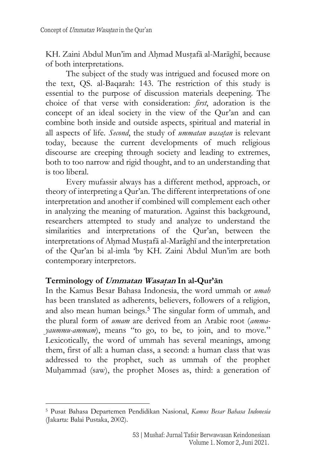KH. Zaini Abdul Mun'im and Ahmad Mustafā al-Marāghī, because of both interpretations.

The subject of the study was intrigued and focused more on the text, QS. al-Baqarah: 143. The restriction of this study is essential to the purpose of discussion materials deepening. The choice of that verse with consideration: *first*, adoration is the concept of an ideal society in the view of the Qur'an and can combine both inside and outside aspects, spiritual and material in all aspects of life. *Second*, the study of *ummatan wasatan* is relevant today, because the current developments of much religious discourse are creeping through society and leading to extremes, both to too narrow and rigid thought, and to an understanding that is too liberal.

Every mufassir always has a different method, approach, or theory of interpreting a Qur'an. The different interpretations of one interpretation and another if combined will complement each other in analyzing the meaning of maturation. Against this background, researchers attempted to study and analyze to understand the similarities and interpretations of the Qur'an, between the interpretations of Ahmad Mustafā al-Marāghī and the interpretation of the Qur'an bi al-imla 'by KH. Zaini Abdul Mun'im are both contemporary interpretors.

## **Terminology of Ummatan Wasat**}**an In al-Qur'ān**

In the Kamus Besar Bahasa Indonesia, the word ummah or *umah* has been translated as adherents, believers, followers of a religion, and also mean human beings.<sup>5</sup> The singular form of ummah, and the plural form of *umam* are derived from an Arabic root (*ammayaummu-ammam*), means "to go, to be, to join, and to move." Lexicotically, the word of ummah has several meanings, among them, first of all: a human class, a second: a human class that was addressed to the prophet, such as ummah of the prophet Muhammad (saw), the prophet Moses as, third: a generation of

<sup>5</sup> Pusat Bahasa Departemen Pendidikan Nasional, *Kamus Besar Bahasa Indonesia* (Jakarta: Balai Pustaka, 2002).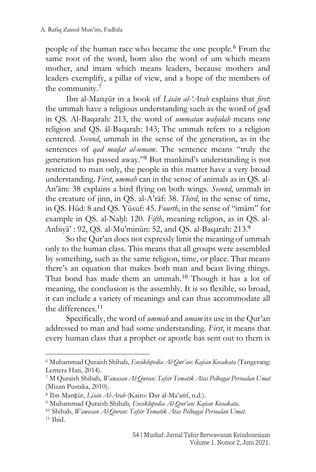people of the human race who became the one people.<sup>6</sup> From the same root of the word, born also the word of um which means mother, and imam which means leaders, because mothers and leaders exemplify, a pillar of view, and a hope of the members of the community.<sup>7</sup>

Ibn al-Manz}ūr in a book of *Lisān al-'Arab* explains that *first*: the ummah have a religious understanding such as the word of god in QS. Al-Baqarah: 213, the word of *ummatan wahidah* means one religion and QS. āl-Baqarah: 143; The ummah refers to a religion centered. *Second*, ummah in the sense of the generation, as in the sentences of *qad madat al-umam*. The sentence means "truly the generation has passed away." <sup>8</sup> But mankind's understanding is not restricted to man only, the people in this matter have a very broad understanding. *First*, *ummah* can in the sense of animals as in QS. al-An'ām: 38 explains a bird flying on both wings. *Second*, ummah in the creature of jinn, in QS. al-A'rāf: 38. *Third*, in the sense of time, in QS. Hūd: 8 and QS. Yūsuf: 45. *Fourth*, in the sense of "imām" for example in QS. al-Nahl: 120. *Fifth*, meaning religion, as in QS. al-Anbiyā' : 92, QS. al-Mu'minūn: 52, and QS. al-Baqarah: 213. 9

So the Qur'an does not expressly limit the meaning of ummah only to the human class. This means that all groups were assembled by something, such as the same religion, time, or place. That means there's an equation that makes both man and beast living things. That bond has made them an ummah.<sup>10</sup> Though it has a lot of meaning, the conclusion is the assembly. It is so flexible, so broad, it can include a variety of meanings and can thus accommodate all the differences. 11

Specifically, the word of *ummah* and *umam* its use in the Qur'an addressed to man and had some understanding. *First*, it means that every human class that a prophet or apostle has sent out to them is

<sup>6</sup> Muhammad Quraish Shihab, *Ensiklopedia Al-Qur'an: Kajian Kosakata* (Tangerang: Lentera Hati, 2014).

<sup>7</sup> M Quraish Shihab, *Wawasan Al-Quran: Tafsir Tematik Atas Pelbagai Persoalan Umat* (Mizan Pustaka, 2010).

<sup>8</sup> Ibn Manẓūr, *Lisān Al-Arab* (Kairo: Dar al-Ma'arif, n.d.).

<sup>9</sup> Muhammad Quraish Shihab, *Ensiklopedia Al-Qur'an: Kajian Kosakata*.

<sup>10</sup> Shihab, *Wawasan Al-Quran: Tafsir Tematik Atas Pelbagai Persoalan Umat*.  $11$  Ibid.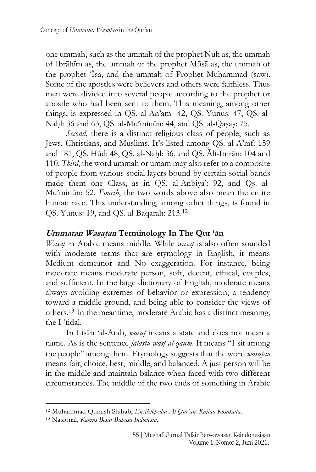one ummah, such as the ummah of the prophet Nūh as, the ummah of Ibrāhīm as, the ummah of the prophet Mūsā as, the ummah of the prophet 'Īsā, and the ummah of Prophet Muhammad (saw). Some of the apostles were believers and others were faithless. Thus men were divided into several people according to the prophet or apostle who had been sent to them. This meaning, among other things, is expressed in QS. al-An'ām- 42, QS. Yūnus: 47, QS. al-Nahl: 36 and 63, QS. al-Mu'minūn: 44, and QS. al-Qasas: 75.

*Second*, there is a distinct religious class of people, such as Jews, Christians, and Muslims. It's listed among QS. al-A'rāf: 159 and 181, QS. Hūd: 48, QS. al-Nah}l: 36, and QS. Āli-Imrān: 104 and 110. *Third*, the word ummah or umam may also refer to a composite of people from various social layers bound by certain social bands made them one Class, as in QS. al-Anbiyā': 92, and Qs. al-Mu'minūn: 52. *Fourth*, the two words above also mean the entire human race. This understanding, among other things, is found in QS. Yunus: 19, and QS. al-Baqarah: 213.<sup>12</sup>

## **Ummatan Wasat**}**an Terminology In The Qur 'ān**

*Wasat* in Arabic means middle. While *wasat* is also often sounded with moderate terms that are etymology in English, it means Medium demeanor and No exaggeration. For instance, being moderate means moderate person, soft, decent, ethical, couples, and sufficient. In the large dictionary of English, moderate means always avoiding extremes of behavior or expression, a tendency toward a middle ground, and being able to consider the views of others.<sup>13</sup> In the meantime, moderate Arabic has a distinct meaning, the I 'tidal.

In Lisān 'al-Arab, *wasat*} means a state and does not mean a name. As is the sentence *jalastu wast*} *al-qaum*. It means "I sit among the people" among them. Etymology suggests that the word *wasatan* means fair, choice, best, middle, and balanced. A just person will be in the middle and maintain balance when faced with two different circumstances. The middle of the two ends of something in Arabic

<sup>12</sup> Muhammad Quraish Shihab, *Ensiklopedia Al-Qur'an: Kajian Kosakata*.

<sup>13</sup> Nasional, *Kamus Besar Bahasa Indonesia*.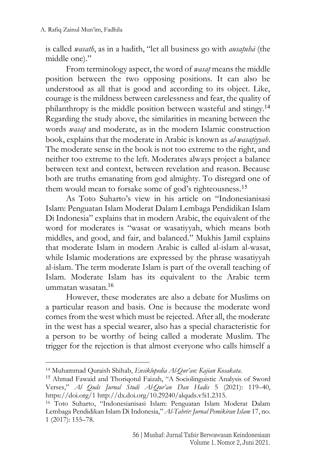is called *wasath*, as in a hadith, "let all business go with *ausatuhā* (the middle one)."

From terminology aspect, the word of *wasat* means the middle position between the two opposing positions. It can also be understood as all that is good and according to its object. Like, courage is the mildness between carelessness and fear, the quality of philanthropy is the middle position between wasteful and stingy.<sup>14</sup> Regarding the study above, the similarities in meaning between the words *wasat*} and moderate, as in the modern Islamic construction book, explains that the moderate in Arabic is known as *al-wasat*}*iyyah*. The moderate sense in the book is not too extreme to the right, and neither too extreme to the left. Moderates always project a balance between text and context, between revelation and reason. Because both are truths emanating from god almighty. To disregard one of them would mean to forsake some of god's righteousness. 15

As Toto Suharto's view in his article on "Indonesianisasi Islam: Penguatan Islam Moderat Dalam Lembaga Pendidikan Islam Di Indonesia" explains that in modern Arabic, the equivalent of the word for moderates is "wasat or wasatiyyah, which means both middles, and good, and fair, and balanced." Mukhis Jamil explains that moderate Islam in modern Arabic is called al-islam al-wasat, while Islamic moderations are expressed by the phrase wasatiyyah al-islam. The term moderate Islam is part of the overall teaching of Islam. Moderate Islam has its equivalent to the Arabic term ummatan wasatan.<sup>16</sup>

However, these moderates are also a debate for Muslims on a particular reason and basis. One is because the moderate word comes from the west which must be rejected. After all, the moderate in the west has a special wearer, also has a special characteristic for a person to be worthy of being called a moderate Muslim. The trigger for the rejection is that almost everyone who calls himself a

<sup>14</sup> Muhammad Quraish Shihab, *Ensiklopedia Al-Qur'an: Kajian Kosakata*.

<sup>&</sup>lt;sup>15</sup> Ahmad Fawaid and Thoriqotul Faizah, "A Sociolinguistic Analysis of Sword Verses," *Al Quds Jurnal Studi Al-Qur'an Dan Hadis* 5 (2021): 119–40, https://doi.org/1 http://dx.doi.org/10.29240/alquds.v5i1.2315.

<sup>16</sup> Toto Suharto, "Indonesianisasi Islam: Penguatan Islam Moderat Dalam Lembaga Pendidikan Islam Di Indonesia," *Al-Tahrir: Jurnal Pemikiran Islam* 17, no. 1 (2017): 155–78.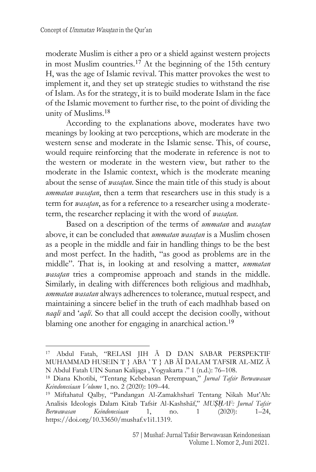moderate Muslim is either a pro or a shield against western projects in most Muslim countries.<sup>17</sup> At the beginning of the 15th century H, was the age of Islamic revival. This matter provokes the west to implement it, and they set up strategic studies to withstand the rise of Islam. As for the strategy, it is to build moderate Islam in the face of the Islamic movement to further rise, to the point of dividing the unity of Muslims.<sup>18</sup>

According to the explanations above, moderates have two meanings by looking at two perceptions, which are moderate in the western sense and moderate in the Islamic sense. This, of course, would require reinforcing that the moderate in reference is not to the western or moderate in the western view, but rather to the moderate in the Islamic context, which is the moderate meaning about the sense of *wasatan*. Since the main title of this study is about *ummatan wasatan*, then a term that researchers use in this study is a term for *wasatan*, as for a reference to a researcher using a moderateterm, the researcher replacing it with the word of *wasatan*.

Based on a description of the terms of *ummatan* and *wasatan* above, it can be concluded that *ummatan wasatan* is a Muslim chosen as a people in the middle and fair in handling things to be the best and most perfect. In the hadith, "as good as problems are in the middle". That is, in looking at and resolving a matter, *ummatan wasatan* tries a compromise approach and stands in the middle. Similarly, in dealing with differences both religious and madhhab, *ummatan wasatan* always adherences to tolerance, mutual respect, and maintaining a sincere belief in the truth of each madhhab based on *naqlī* and '*aqlī*. So that all could accept the decision coolly, without blaming one another for engaging in anarchical action.<sup>19</sup>

<sup>17</sup> Abdul Fatah, "RELASI JIH Ā D DAN SABAR PERSPEKTIF MUHAMMAD HUSEIN T } ABA ' T } AB ĀĪ DALAM TAFSIR AL-MIZ Ā N Abdul Fatah UIN Sunan Kalijaga , Yogyakarta ." 1 (n.d.): 76–108.

<sup>18</sup> Diana Khotibi, "Tentang Kebebasan Perempuan," *Jurnal Tafsir Berwawasan Keindonesiaan Volume* 1, no. 2 (2020): 109–44.

<sup>19</sup> Miftahatul Qalby, "Pandangan Al-Zamakhsharī Tentang Nikah Mut'Ah: Analisis Ideologis Dalam Kitab Tafsir Al-Kashshāf," *MUṢḤAF: Jurnal Tafsir Berwawasan Keindonesiaan* 1, no. 1 (2020): 1–24, https://doi.org/10.33650/mushaf.v1i1.1319.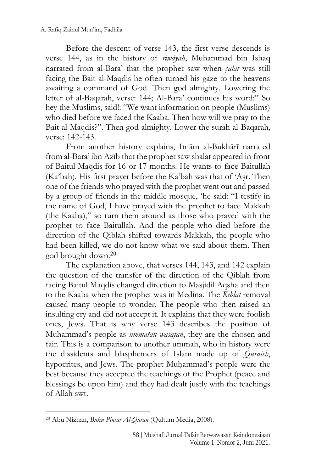Before the descent of verse 143, the first verse descends is verse 144, as in the history of *riwāyah*, Muhammad bin Ishaq narrated from al-Bara' that the prophet saw when *s*}*alāt* was still facing the Bait al-Maqdis he often turned his gaze to the heavens awaiting a command of God. Then god almighty. Lowering the letter of al-Baqarah, verse: 144; Al-Bara' continues his word:" So hey the Muslims, said!: "We want information on people (Muslims) who died before we faced the Kaaba. Then how will we pray to the Bait al-Maqdis?". Then god almighty. Lower the surah al-Baqarah, verse: 142-143.

From another history explains, Imām al-Bukhārī narrated from al-Bara' ibn Azīb that the prophet saw shalat appeared in front of Baitul Maqdis for 16 or 17 months. He wants to face Baitullah (Ka'bah). His first prayer before the Ka'bah was that of 'Asr. Then one of the friends who prayed with the prophet went out and passed by a group of friends in the middle mosque, 'he said: "I testify in the name of God, I have prayed with the prophet to face Makkah (the Kaaba)," so turn them around as those who prayed with the prophet to face Baitullah. And the people who died before the direction of the Qiblah shifted towards Makkah, the people who had been killed, we do not know what we said about them. Then god brought down.<sup>20</sup>

The explanation above, that verses 144, 143, and 142 explain the question of the transfer of the direction of the Qiblah from facing Baitul Maqdis changed direction to Masjidil Aqsha and then to the Kaaba when the prophet was in Medina. The *Kiblat* removal caused many people to wonder. The people who then raised an insulting cry and did not accept it. It explains that they were foolish ones, Jews. That is why verse 143 describes the position of Muhammad's people as *ummatan wasatan*, they are the chosen and fair. This is a comparison to another ummah, who in history were the dissidents and blasphemers of Islam made up of *Quraish*, hypocrites, and Jews. The prophet Muhammad's people were the best because they accepted the teachings of the Prophet (peace and blessings be upon him) and they had dealt justly with the teachings of Allah swt.

<sup>20</sup> Abu Nizhan, *Buku Pintar Al-Quran* (Qultum Media, 2008).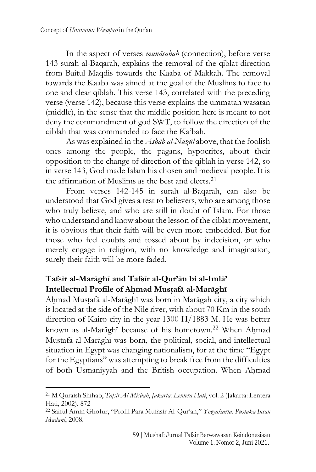In the aspect of verses *munāsabah* (connection), before verse 143 surah al-Baqarah, explains the removal of the qiblat direction from Baitul Maqdis towards the Kaaba of Makkah. The removal towards the Kaaba was aimed at the goal of the Muslims to face to one and clear qiblah. This verse 143, correlated with the preceding verse (verse 142), because this verse explains the ummatan wasatan (middle), in the sense that the middle position here is meant to not deny the commandment of god SWT, to follow the direction of the qiblah that was commanded to face the Ka'bah.

As was explained in the *Asbāb al-Nuzūl* above, that the foolish ones among the people, the pagans, hypocrites, about their opposition to the change of direction of the qiblah in verse 142, so in verse 143, God made Islam his chosen and medieval people. It is the affirmation of Muslims as the best and elects.<sup>21</sup>

From verses 142-145 in surah al-Baqarah, can also be understood that God gives a test to believers, who are among those who truly believe, and who are still in doubt of Islam. For those who understand and know about the lesson of the qiblat movement, it is obvious that their faith will be even more embedded. But for those who feel doubts and tossed about by indecision, or who merely engage in religion, with no knowledge and imagination, surely their faith will be more faded.

# **Tafsīr al-Marāghī and Tafsīr al-Qur'ān bi al-Imlā' Intellectual Profile of Ah**}**mad Must**}**afā al-Marāghī**

Ahmad Mustafā al-Marāghī was born in Marāgah city, a city which is located at the side of the Nile river, with about 70 Km in the south direction of Kairo city in the year 1300 H/1883 M. He was better known as al-Marāghī because of his hometown.<sup>22</sup> When Ahmad Mustafā al-Marāghī was born, the political, social, and intellectual situation in Egypt was changing nationalism, for at the time "Egypt for the Egyptians" was attempting to break free from the difficulties of both Usmaniyyah and the British occupation. When Ahmad

<sup>21</sup> M Quraish Shihab, *Tafsir Al-Misbah*, *Jakarta: Lentera Hati*, vol. 2 (Jakarta: Lentera Hati, 2002). 872

<sup>22</sup> Saiful Amin Ghofur, "Profil Para Mufasir Al-Qur'an," *Yogyakarta: Pustaka Insan Madani*, 2008.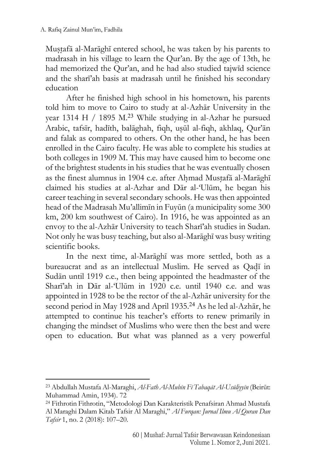Mustafā al-Marāghī entered school, he was taken by his parents to madrasah in his village to learn the Qur'an. By the age of 13th, he had memorized the Qur'an, and he had also studied tajwīd science and the sharī'ah basis at madrasah until he finished his secondary education

After he finished high school in his hometown, his parents told him to move to Cairo to study at al-Azhār University in the year 1314 H / 1895 M.<sup>23</sup> While studying in al-Azhar he pursued Arabic, tafsīr, hadīth, balāghah, fiqh, usūl al-fiqh, akhlaq, Qur'ān and falak as compared to others. On the other hand, he has been enrolled in the Cairo faculty. He was able to complete his studies at both colleges in 1909 M. This may have caused him to become one of the brightest students in his studies that he was eventually chosen as the finest alumnus in 1904 c.e. after Ahmad Mustafā al-Marāghī claimed his studies at al-Azhar and Dār al-'Ulūm, he began his career teaching in several secondary schools. He was then appointed head of the Madrasah Mu'allimīn in Fuyūn (a municipality some 300 km, 200 km southwest of Cairo). In 1916, he was appointed as an envoy to the al-Azhār University to teach Sharī'ah studies in Sudan. Not only he was busy teaching, but also al-Marāghī was busy writing scientific books.

In the next time, al-Marāghī was more settled, both as a bureaucrat and as an intellectual Muslim. He served as Qadī in Sudān until 1919 c.e., then being appointed the headmaster of the Sharī'ah in Dār al-'Ulūm in 1920 c.e. until 1940 c.e. and was appointed in 1928 to be the rector of the al-Azhār university for the second period in May 1928 and April 1935.<sup>24</sup> As he led al-Azhār, he attempted to continue his teacher's efforts to renew primarily in changing the mindset of Muslims who were then the best and were open to education. But what was planned as a very powerful

<sup>23</sup> Abdullah Mustafa Al-Maraghi, *Al-Fath Al-Mubīn Fī Tabaqāt Al-Usūliyyīn* (Beirūt: Muhammad Amin, 1934). 72

<sup>24</sup> Fithrotin Fithrotin, "Metodologi Dan Karakteristik Penafsiran Ahmad Mustafa Al Maraghi Dalam Kitab Tafsir Al Maraghi," *Al Furqan: Jurnal Ilmu Al Quran Dan Tafsir* 1, no. 2 (2018): 107–20.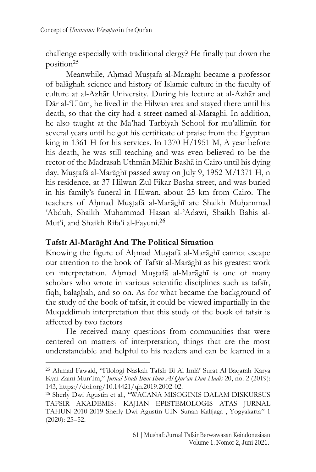challenge especially with traditional clergy? He finally put down the position<sup>25</sup>

Meanwhile, Ahmad Mustafa al-Marāghī became a professor of balāghah science and history of Islamic culture in the faculty of culture at al-Azhār University. During his lecture at al-Azhār and Dār al-'Ulūm, he lived in the Hilwan area and stayed there until his death, so that the city had a street named al-Maraghi. In addition, he also taught at the Ma'had Tarbiyah School for mu'allimīn for several years until he got his certificate of praise from the Egyptian king in 1361 H for his services. In 1370 H/1951 M, A year before his death, he was still teaching and was even believed to be the rector of the Madrasah Uthmān Māhir Bashā in Cairo until his dying day. Mustafā al-Marāghī passed away on July 9, 1952 M/1371 H, n his residence, at 37 Hilwan Zul Fikar Bashā street, and was buried in his family's funeral in Hilwan, about 25 km from Cairo. The teachers of Ahmad Mustafā al-Marāghī are Shaikh Muhammad 'Abduh, Shaikh Muhammad Hasan al-'Adawi, Shaikh Bahis al-Mut'i, and Shaikh Rifa'i al-Fayuni.<sup>26</sup>

## **Tafsīr Al-Marāghī And The Political Situation**

Knowing the figure of Ahmad Mustafā al-Marāghī cannot escape our attention to the book of Tafsīr al-Marāghī as his greatest work on interpretation. Ahmad Mustafā al-Marāghī is one of many scholars who wrote in various scientific disciplines such as tafsīr, fiqh, balāghah, and so on. As for what became the background of the study of the book of tafsir, it could be viewed impartially in the Muqaddimah interpretation that this study of the book of tafsir is affected by two factors

He received many questions from communities that were centered on matters of interpretation, things that are the most understandable and helpful to his readers and can be learned in a

<sup>25</sup> Ahmad Fawaid, "Filologi Naskah Tafsîr Bi Al-Imlâ' Surat Al-Baqarah Karya Kyai Zaini Mun'Im," *Jurnal Studi Ilmu-Ilmu Al-Qur'an Dan Hadis* 20, no. 2 (2019): 143, https://doi.org/10.14421/qh.2019.2002-02.

<sup>26</sup> Sherly Dwi Agustin et al., "WACANA MISOGINIS DALAM DISKURSUS TAFSIR AKADEMIS: KAJIAN EPISTEMOLOGIS ATAS JURNAL TAHUN 2010-2019 Sherly Dwi Agustin UIN Sunan Kalijaga , Yogyakarta" 1 (2020): 25–52.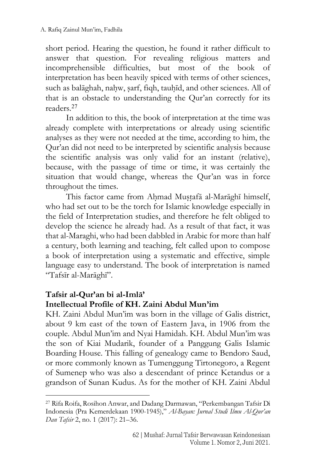short period. Hearing the question, he found it rather difficult to answer that question. For revealing religious matters and incomprehensible difficulties, but most of the book of interpretation has been heavily spiced with terms of other sciences, such as balāghah, nahw, sarf, fiqh, tauhīd, and other sciences. All of that is an obstacle to understanding the Qur'an correctly for its readers. 27

In addition to this, the book of interpretation at the time was already complete with interpretations or already using scientific analyses as they were not needed at the time, according to him, the Qur'an did not need to be interpreted by scientific analysis because the scientific analysis was only valid for an instant (relative), because, with the passage of time or time, it was certainly the situation that would change, whereas the Qur'an was in force throughout the times.

This factor came from Ahmad Mustafā al-Marāghī himself, who had set out to be the torch for Islamic knowledge especially in the field of Interpretation studies, and therefore he felt obliged to develop the science he already had. As a result of that fact, it was that al-Maraghi, who had been dabbled in Arabic for more than half a century, both learning and teaching, felt called upon to compose a book of interpretation using a systematic and effective, simple language easy to understand. The book of interpretation is named "Tafsīr al-Marāghī".

## **Tafsir al-Qur'an bi al-Imlā' Intellectual Profile of KH. Zaini Abdul Mun'im**

KH. Zaini Abdul Mun'im was born in the village of Galis district, about 9 km east of the town of Eastern Java, in 1906 from the couple. Abdul Mun'im and Nyai Hamidah. KH. Abdul Mun'im was the son of Kiai Mudarik, founder of a Panggung Galis Islamic Boarding House. This falling of genealogy came to Bendoro Saud, or more commonly known as Tumenggung Tirtonegoro, a Regent of Sumenep who was also a descendant of prince Ketandus or a grandson of Sunan Kudus. As for the mother of KH. Zaini Abdul

<sup>27</sup> Rifa Roifa, Rosihon Anwar, and Dadang Darmawan, "Perkembangan Tafsir Di Indonesia (Pra Kemerdekaan 1900-1945)," *Al-Bayan: Jurnal Studi Ilmu Al-Qur'an Dan Tafsir* 2, no. 1 (2017): 21–36.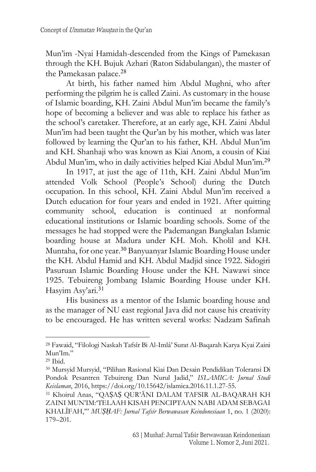Mun'im -Nyai Hamidah-descended from the Kings of Pamekasan through the KH. Bujuk Azhari (Raton Sidabulangan), the master of the Pamekasan palace.<sup>28</sup>

At birth, his father named him Abdul Mughni, who after performing the pilgrim he is called Zaini. As customary in the house of Islamic boarding, KH. Zaini Abdul Mun'im became the family's hope of becoming a believer and was able to replace his father as the school's caretaker. Therefore, at an early age, KH. Zaini Abdul Mun'im had been taught the Qur'an by his mother, which was later followed by learning the Qur'an to his father, KH. Abdul Mun'im and KH. Shanhaji who was known as Kiai Anom, a cousin of Kiai Abdul Mun'im, who in daily activities helped Kiai Abdul Mun'im. 29

In 1917, at just the age of 11th, KH. Zaini Abdul Mun'im attended Volk School (People's School) during the Dutch occupation. In this school, KH. Zaini Abdul Mun'im received a Dutch education for four years and ended in 1921. After quitting community school, education is continued at nonformal educational institutions or Islamic boarding schools. Some of the messages he had stopped were the Pademangan Bangkalan Islamic boarding house at Madura under KH. Moh. Kholil and KH. Muntaha, for one year. <sup>30</sup> Banyuanyar Islamic Boarding House under the KH. Abdul Hamid and KH. Abdul Madjid since 1922. Sidogiri Pasuruan Islamic Boarding House under the KH. Nawawi since 1925. Tebuireng Jombang Islamic Boarding House under KH. Hasyim Asy'ari.<sup>31</sup>

His business as a mentor of the Islamic boarding house and as the manager of NU east regional Java did not cause his creativity to be encouraged. He has written several works: Nadzam Safinah

<sup>28</sup> Fawaid, "Filologi Naskah Tafsîr Bi Al-Imlâ' Surat Al-Baqarah Karya Kyai Zaini Mun'Im."

<sup>29</sup> Ibid.

<sup>30</sup> Mursyid Mursyid, "Pilihan Rasional Kiai Dan Desain Pendidikan Toleransi Di Pondok Pesantren Tebuireng Dan Nurul Jadid," *ISLAMICA: Jurnal Studi Keislaman*, 2016, https://doi.org/10.15642/islamica.2016.11.1.27-55.

<sup>31</sup> Khoirul Anas, "QAṢAṢ QUR'ĀNI DALAM TAFSIR AL-BAQARAH KH ZAINI MUN'IM:'TELAAH KISAH PENCIPTAAN NABI ADAM SEBAGAI KHALĪFAH,'" *MUṢḤAF: Jurnal Tafsir Berwawasan Keindonesiaan* 1, no. 1 (2020): 179–201.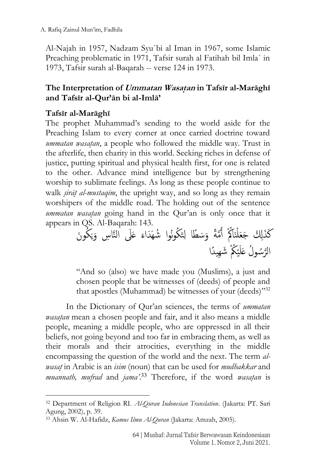Al-Najah in 1957, Nadzam Syu`bi al Iman in 1967, some Islamic Preaching problematic in 1971, Tafsir surah al Fatihah bil Imla` in 1973, Tafsir surah al-Baqarah -- verse 124 in 1973.

## **The Interpretation of Ummatan Wasat**}**an in Tafsīr al-Marāghī and Tafsīr al-Qur'ān bi al-Imlā'**

## **Tafsīr al-Marāghī**

The prophet Muhammad's sending to the world aside for the Preaching Islam to every corner at once carried doctrine toward *ummatan wasatan*, a people who followed the middle way. Trust in the afterlife, then charity in this world. Seeking riches in defense of justice, putting spiritual and physical health first, for one is related to the other. Advance mind intelligence but by strengthening worship to sublimate feelings. As long as these people continue to walk *s*}*irāt*} *al-mustaqīm*, the upright way, and so long as they remain worshipers of the middle road. The holding out of the sentence *ummatan wasatan* going hand in the Our'an is only once that it appears in QS. Al-Baqarah: 143.

ُكوَن َ ي َ َل النَّا س و عَ َ ُكونُوا ُشهَ َداء تَ َ َس ًطا ل َّمًة و ُ أنَاكُْ ْ كَ َذ َل َجَعل ُ ْك َشه ي ًدا ْ ي َ َّ ُسوُل عَل الر

"And so (also) we have made you (Muslims), a just and chosen people that be witnesses of (deeds) of people and that apostles (Muhammad) be witnesses of your (deeds)"32

In the Dictionary of Qur'an sciences, the terms of *ummatan wasatan* mean a chosen people and fair, and it also means a middle people, meaning a middle people, who are oppressed in all their beliefs, not going beyond and too far in embracing them, as well as their morals and their atrocities, everything in the middle encompassing the question of the world and the next. The term *alwasat*} in Arabic is an *isim* (noun) that can be used for *mudhakkar* and *muannath, mufrad* and *jama*<sup>23</sup> Therefore, if the word *wasatan* is

<sup>32</sup> Department of Religion RI. *Al-Quran Indonesian Translation*. (Jakarta: PT. Sari Agung, 2002), p. 39.

<sup>33</sup> Ahsin W. Al-Hafidz, *Kamus Ilmu Al-Quran* (Jakarta: Amzah, 2005).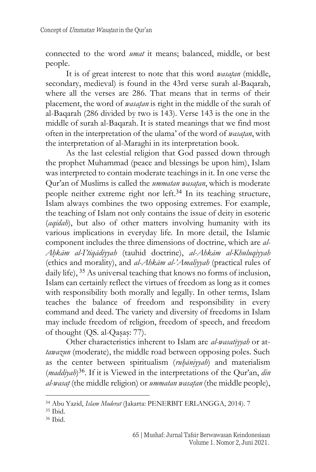connected to the word *umat* it means; balanced, middle, or best people.

It is of great interest to note that this word *wasatan* (middle, secondary, medieval) is found in the 43rd verse surah al-Baqarah, where all the verses are 286. That means that in terms of their placement, the word of *wasat*}*an* is right in the middle of the surah of al-Baqarah (286 divided by two is 143). Verse 143 is the one in the middle of surah al-Baqarah. It is stated meanings that we find most often in the interpretation of the ulama' of the word of *wasatan*, with the interpretation of al-Maraghi in its interpretation book.

As the last celestial religion that God passed down through the prophet Muhammad (peace and blessings be upon him), Islam was interpreted to contain moderate teachings in it. In one verse the Qur'an of Muslims is called the *ummatan wasatan*, which is moderate people neither extreme right nor left.<sup>34</sup> In its teaching structure, Islam always combines the two opposing extremes. For example, the teaching of Islam not only contains the issue of deity in esoteric (*aqīdah*), but also of other matters involving humanity with its various implications in everyday life. In more detail, the Islamic component includes the three dimensions of doctrine, which are *al-Ah*}*kām al-I'tiqādiyyah* (tauhid doctrine), *al-Ahkām al-Khuluqiyyah* (ethics and morality), and *al-Ahkām al-'Amaliyyah* (practical rules of daily life), <sup>35</sup> As universal teaching that knows no forms of inclusion, Islam can certainly reflect the virtues of freedom as long as it comes with responsibility both morally and legally. In other terms, Islam teaches the balance of freedom and responsibility in every command and deed. The variety and diversity of freedoms in Islam may include freedom of religion, freedom of speech, and freedom of thought (QS. al-Qasas: 77).

Other characteristics inherent to Islam are *al-wasatiyyah* or at*tawazun* (moderate), the middle road between opposing poles. Such as the center between spiritualism (*ruhāniyyah*) and materialism (*maddiyah*) <sup>36</sup>. If it is Viewed in the interpretations of the Qur'an, *din al-wasat* (the middle religion) or *ummatan wasatan* (the middle people),

<sup>36</sup> Ibid.

<sup>34</sup> Abu Yazid, *Islam Moderat* (Jakarta: PENERBIT ERLANGGA, 2014). 7

<sup>35</sup> Ibid.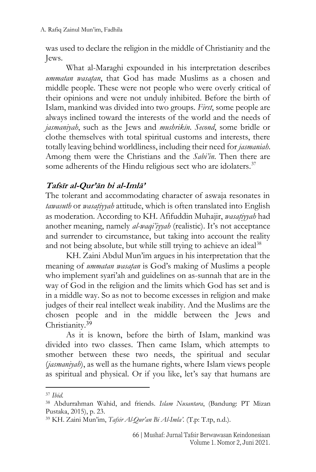was used to declare the religion in the middle of Christianity and the Jews.

What al-Maraghi expounded in his interpretation describes *ummatan wasatan*, that God has made Muslims as a chosen and middle people. These were not people who were overly critical of their opinions and were not unduly inhibited. Before the birth of Islam, mankind was divided into two groups. *First*, some people are always inclined toward the interests of the world and the needs of *jasmaniyah*, such as the Jews and *mushrikīn*. *Second*, some bridle or clothe themselves with total spiritual customs and interests, there totally leaving behind worldliness, including their need for *jasmaniah*. Among them were the Christians and the *Sabi'in*. Then there are some adherents of the Hindu religious sect who are idolaters.<sup>37</sup>

# **Tafsīr al-Qur'ān bi al-Imlā'**

The tolerant and accommodating character of aswaja resonates in *tawasuth* or *wasatiyyah* attitude, which is often translated into English as moderation. According to KH. Afifuddin Muhajir, *wasatiyyah* had another meaning, namely *al-waqi'iyyah* (realistic). It's not acceptance and surrender to circumstance, but taking into account the reality and not being absolute, but while still trying to achieve an ideal<sup>38</sup>

KH. Zaini Abdul Mun'im argues in his interpretation that the meaning of *ummatan wasatan* is God's making of Muslims a people who implement syari'ah and guidelines on as-sunnah that are in the way of God in the religion and the limits which God has set and is in a middle way. So as not to become excesses in religion and make judges of their real intellect weak inability. And the Muslims are the chosen people and in the middle between the Jews and Christianity.<sup>39</sup>

As it is known, before the birth of Islam, mankind was divided into two classes. Then came Islam, which attempts to smother between these two needs, the spiritual and secular (*jasmaniyah*), as well as the humane rights, where Islam views people as spiritual and physical. Or if you like, let's say that humans are

<sup>37</sup> *Ibid.*

<sup>38</sup> Abdurrahman Wahid, and friends. *Islam Nusantara*, (Bandung: PT Mizan Pustaka, 2015), p. 23.

<sup>39</sup> KH. Zaini Mun'im, *Tafsir Al-Qur'an Bi Al-Imla'.* (T.p: T.tp, n.d.).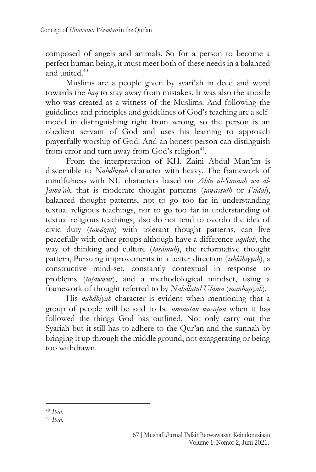composed of angels and animals. So for a person to become a perfect human being, it must meet both of these needs in a balanced and united. 40

Muslims are a people given by syari'ah in deed and word towards the *haq* to stay away from mistakes. It was also the apostle who was created as a witness of the Muslims. And following the guidelines and principles and guidelines of God's teaching are a selfmodel in distinguishing right from wrong, so the person is an obedient servant of God and uses his learning to approach prayerfully worship of God. And an honest person can distinguish from error and turn away from God's religion<sup>41</sup>.

From the interpretation of KH. Zaini Abdul Mun'im is discernible to *Nahdhiyah* character with heavy. The framework of mindfulness with NU characters based on *Ahlu al-Sunnah wa al-Jamā'ah*, that is moderate thought patterns (*tawassuth* or *I'tidal*), balanced thought patterns, not to go too far in understanding textual religious teachings, nor to go too far in understanding of textual religious teachings, also do not tend to overdo the idea of civic duty (*tawāzun*) with tolerant thought patterns, can live peacefully with other groups although have a difference *aqīdah*, the way of thinking and culture (*tasāmuh*), the reformative thought pattern, Pursuing improvements in a better direction (*ishlāhiyyah*), a constructive mind-set, constantly contextual in response to problems (*tatawwwr*), and a methodological mindset, using a framework of thought referred to by *Nahdlatul Ulama* (*manhajiyah*).

His *nahdhiyah* character is evident when mentioning that a group of people will be said to be *ummatan wasatan* when it has followed the things God has outlined. Not only carry out the Syariah but it still has to adhere to the Qur'an and the sunnah by bringing it up through the middle ground, not exaggerating or being too withdrawn.

<sup>40</sup> *Ibid*.

<sup>41</sup> *Ibid.*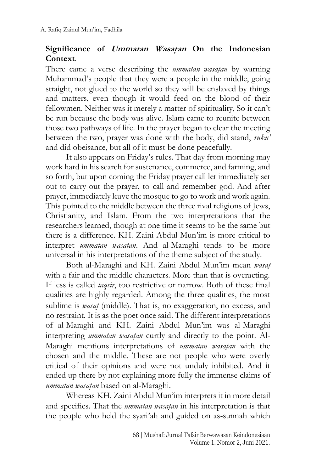## Significance of *Ummatan Wasatan* On the Indonesian **Context**.

There came a verse describing the *ummatan wasatan* by warning Muhammad's people that they were a people in the middle, going straight, not glued to the world so they will be enslaved by things and matters, even though it would feed on the blood of their fellowmen. Neither was it merely a matter of spirituality, So it can't be run because the body was alive. Islam came to reunite between those two pathways of life. In the prayer began to clear the meeting between the two, prayer was done with the body, did stand, *ruku'* and did obeisance, but all of it must be done peacefully.

It also appears on Friday's rules. That day from morning may work hard in his search for sustenance, commerce, and farming, and so forth, but upon coming the Friday prayer call let immediately set out to carry out the prayer, to call and remember god. And after prayer, immediately leave the mosque to go to work and work again. This pointed to the middle between the three rival religions of Jews, Christianity, and Islam. From the two interpretations that the researchers learned, though at one time it seems to be the same but there is a difference. KH. Zaini Abdul Mun'im is more critical to interpret *ummatan wasatan*. And al-Maraghi tends to be more universal in his interpretations of the theme subject of the study.

Both al-Maraghi and KH. Zaini Abdul Mun'im mean *wasat*} with a fair and the middle characters. More than that is overacting. If less is called *taqsir*, too restrictive or narrow. Both of these final qualities are highly regarded. Among the three qualities, the most sublime is *wasat* (middle). That is, no exaggeration, no excess, and no restraint. It is as the poet once said. The different interpretations of al-Maraghi and KH. Zaini Abdul Mun'im was al-Maraghi interpreting *ummatan wasatan* curtly and directly to the point. Al-Maraghi mentions interpretations of *ummatan wasatan* with the chosen and the middle. These are not people who were overly critical of their opinions and were not unduly inhibited. And it ended up there by not explaining more fully the immense claims of *ummatan wasat*}*an* based on al-Maraghi.

Whereas KH. Zaini Abdul Mun'im interprets it in more detail and specifics. That the *ummatan wasatan* in his interpretation is that the people who held the syari'ah and guided on as-sunnah which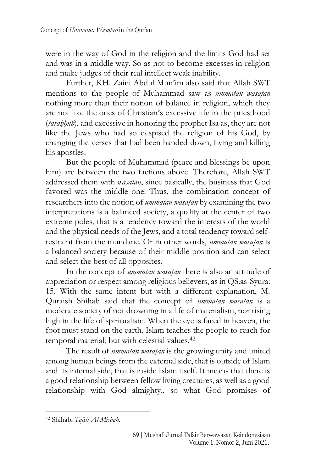were in the way of God in the religion and the limits God had set and was in a middle way. So as not to become excesses in religion and make judges of their real intellect weak inability.

Further, KH. Zaini Abdul Mun'im also said that Allah SWT mentions to the people of Muhammad saw as *ummatan wasatan* nothing more than their notion of balance in religion, which they are not like the ones of Christian's excessive life in the priesthood (*tarah*}*h*}*ub*), and excessive in honoring the prophet Isa as, they are not like the Jews who had so despised the religion of his God, by changing the verses that had been handed down, Lying and killing his apostles.

But the people of Muhammad (peace and blessings be upon him) are between the two factions above. Therefore, Allah SWT addressed them with *wasatan*, since basically, the business that God favored was the middle one. Thus, the combination concept of researchers into the notion of *ummatan wasatan* by examining the two interpretations is a balanced society, a quality at the center of two extreme poles, that is a tendency toward the interests of the world and the physical needs of the Jews, and a total tendency toward selfrestraint from the mundane. Or in other words, *ummatan wasatan* is a balanced society because of their middle position and can select and select the best of all opposites.

In the concept of *ummatan wasatan* there is also an attitude of appreciation or respect among religious believers, as in QS.as-Syura: 15. With the same intent but with a different explanation, M. Quraish Shihab said that the concept of *ummatan wasatan* is a moderate society of not drowning in a life of materialism, nor rising high in the life of spiritualism. When the eye is faced in heaven, the foot must stand on the earth. Islam teaches the people to reach for temporal material, but with celestial values. 42

The result of *ummatan wasatan* is the growing unity and united among human beings from the external side, that is outside of Islam and its internal side, that is inside Islam itself. It means that there is a good relationship between fellow living creatures, as well as a good relationship with God almighty., so what God promises of

<sup>42</sup> Shihab, *Tafsir Al-Misbah*.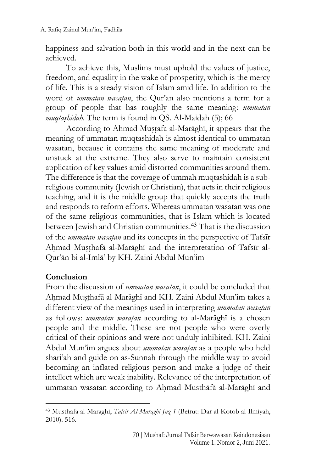happiness and salvation both in this world and in the next can be achieved.

To achieve this, Muslims must uphold the values of justice, freedom, and equality in the wake of prosperity, which is the mercy of life. This is a steady vision of Islam amid life. In addition to the word of *ummatan wasatan*, the Qur'an also mentions a term for a group of people that has roughly the same meaning: *ummatan muqtas*}*hidah*. The term is found in QS. Al-Maidah (5); 66

According to Ahmad Mustafa al-Marāghī, it appears that the meaning of ummatan muqtashidah is almost identical to ummatan wasatan, because it contains the same meaning of moderate and unstuck at the extreme. They also serve to maintain consistent application of key values amid distorted communities around them. The difference is that the coverage of ummah muqtashidah is a subreligious community (Jewish or Christian), that acts in their religious teaching, and it is the middle group that quickly accepts the truth and responds to reform efforts. Whereas ummatan wasatan was one of the same religious communities, that is Islam which is located between Jewish and Christian communities. <sup>43</sup> That is the discussion of the *ummatan wasat*}*an* and its concepts in the perspective of Tafsīr Ahmad Musthafā al-Marāghī and the interpretation of Tafsīr al-Qur'ān bi al-Imlā' by KH. Zaini Abdul Mun'im

# **Conclusion**

From the discussion of *ummatan wasatan*, it could be concluded that Ahmad Musthafā al-Marāghī and KH. Zaini Abdul Mun'im takes a different view of the meanings used in interpreting *ummatan wasatan* as follows: *ummatan wasatan* according to al-Marāghī is a chosen people and the middle. These are not people who were overly critical of their opinions and were not unduly inhibited. KH. Zaini Abdul Mun'im argues about *ummatan wasatan* as a people who held shari'ah and guide on as-Sunnah through the middle way to avoid becoming an inflated religious person and make a judge of their intellect which are weak inability. Relevance of the interpretation of ummatan wasatan according to Ahmad Musthāfā al-Marāghī and

<sup>43</sup> Musthafa al-Maraghi, *Tafsir Al-Maraghi Juz 1* (Beirut: Dar al-Kotob al-Ilmiyah, 2010). 516.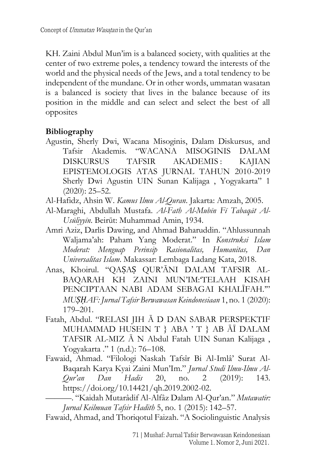KH. Zaini Abdul Mun'im is a balanced society, with qualities at the center of two extreme poles, a tendency toward the interests of the world and the physical needs of the Jews, and a total tendency to be independent of the mundane. Or in other words, ummatan wasatan is a balanced is society that lives in the balance because of its position in the middle and can select and select the best of all opposites

#### **Bibliography**

- Agustin, Sherly Dwi, Wacana Misoginis, Dalam Diskursus, and Tafsir Akademis. "WACANA MISOGINIS DALAM DISKURSUS TAFSIR AKADEMIS: KAJIAN EPISTEMOLOGIS ATAS JURNAL TAHUN 2010-2019 Sherly Dwi Agustin UIN Sunan Kalijaga , Yogyakarta" 1 (2020): 25–52.
- Al-Hafidz, Ahsin W. *Kamus Ilmu Al-Quran*. Jakarta: Amzah, 2005.
- Al-Maraghi, Abdullah Mustafa. *Al-Fath Al-Mubīn Fī Tabaqāt Al-Usūliyyīn*. Beirūt: Muhammad Amin, 1934.
- Amri Aziz, Darlis Dawing, and Ahmad Baharuddin. "Ahlussunnah Waljama'ah: Paham Yang Moderat." In *Konstruksi Islam Moderat: Menguap Perinsip Rasionalitas, Humanitas, Dan Universalitas Islam*. Makassar: Lembaga Ladang Kata, 2018.
- Anas, Khoirul. "QAṢAṢ QUR'ĀNI DALAM TAFSIR AL-BAQARAH KH ZAINI MUN'IM:'TELAAH KISAH PENCIPTAAN NABI ADAM SEBAGAI KHALĪFAH.'" *MUṢḤAF: Jurnal Tafsir Berwawasan Keindonesiaan* 1, no. 1 (2020): 179–201.
- Fatah, Abdul. "RELASI JIH Ā D DAN SABAR PERSPEKTIF MUHAMMAD HUSEIN T } ABA ' T } AB ĀĪ DALAM TAFSIR AL-MIZ Ā N Abdul Fatah UIN Sunan Kalijaga , Yogyakarta ." 1 (n.d.): 76–108.
- Fawaid, Ahmad. "Filologi Naskah Tafsîr Bi Al-Imlâ' Surat Al-Baqarah Karya Kyai Zaini Mun'Im." *Jurnal Studi Ilmu-Ilmu Al-Qur'an Dan Hadis* 20, no. 2 (2019): 143. https://doi.org/10.14421/qh.2019.2002-02.

———. "Kaidah Mutarâdif Al-Alfâz Dalam Al-Qur'an." *Mutawatir: Jurnal Keilmuan Tafsir Hadith* 5, no. 1 (2015): 142–57.

Fawaid, Ahmad, and Thoriqotul Faizah. "A Sociolinguistic Analysis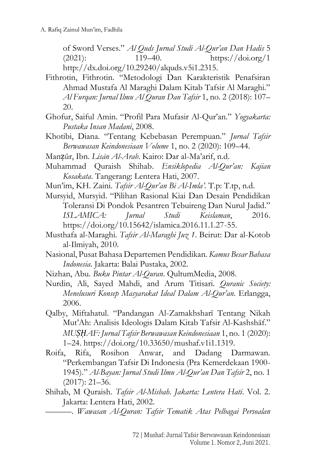of Sword Verses." *Al Quds Jurnal Studi Al-Qur'an Dan Hadis* 5 (2021): 119–40. https://doi.org/1 http://dx.doi.org/10.29240/alquds.v5i1.2315.

- Fithrotin, Fithrotin. "Metodologi Dan Karakteristik Penafsiran Ahmad Mustafa Al Maraghi Dalam Kitab Tafsir Al Maraghi." *Al Furqan: Jurnal Ilmu Al Quran Dan Tafsir* 1, no. 2 (2018): 107– 20.
- Ghofur, Saiful Amin. "Profil Para Mufasir Al-Qur'an." *Yogyakarta: Pustaka Insan Madani*, 2008.
- Khotibi, Diana. "Tentang Kebebasan Perempuan." *Jurnal Tafsir Berwawasan Keindonesiaan Volume* 1, no. 2 (2020): 109–44.
- Manẓūr, Ibn. *Lisān Al-Arab*. Kairo: Dar al-Ma'arif, n.d.
- Muhammad Quraish Shihab. *Ensiklopedia Al-Qur'an: Kajian Kosakata*. Tangerang: Lentera Hati, 2007.
- Mun'im, KH. Zaini. *Tafsir Al-Qur'an Bi Al-Imla'.* T.p: T.tp, n.d.
- Mursyid, Mursyid. "Pilihan Rasional Kiai Dan Desain Pendidikan Toleransi Di Pondok Pesantren Tebuireng Dan Nurul Jadid." *ISLAMICA: Jurnal Studi Keislaman*, 2016. https://doi.org/10.15642/islamica.2016.11.1.27-55.
- Musthafa al-Maraghi. *Tafsir Al-Maraghi Juz 1*. Beirut: Dar al-Kotob al-Ilmiyah, 2010.
- Nasional, Pusat Bahasa Departemen Pendidikan. *Kamus Besar Bahasa Indonesia*. Jakarta: Balai Pustaka, 2002.
- Nizhan, Abu. *Buku Pintar Al-Quran*. QultumMedia, 2008.
- Nurdin, Ali, Sayed Mahdi, and Arum Titisari. *Quranic Society: Menelusuri Konsep Masyarakat Ideal Dalam Al-Qur'an*. Erlangga, 2006.
- Qalby, Miftahatul. "Pandangan Al-Zamakhsharī Tentang Nikah Mut'Ah: Analisis Ideologis Dalam Kitab Tafsir Al-Kashshāf." *MUṢḤAF: Jurnal Tafsir Berwawasan Keindonesiaan* 1, no. 1 (2020): 1–24. https://doi.org/10.33650/mushaf.v1i1.1319.
- Roifa, Rifa, Rosihon Anwar, and Dadang Darmawan. "Perkembangan Tafsir Di Indonesia (Pra Kemerdekaan 1900- 1945)." *Al-Bayan: Jurnal Studi Ilmu Al-Qur'an Dan Tafsir* 2, no. 1 (2017): 21–36.
- Shihab, M Quraish. *Tafsir Al-Misbah*. *Jakarta: Lentera Hati*. Vol. 2. Jakarta: Lentera Hati, 2002.
	- ———. *Wawasan Al-Quran: Tafsir Tematik Atas Pelbagai Persoalan*